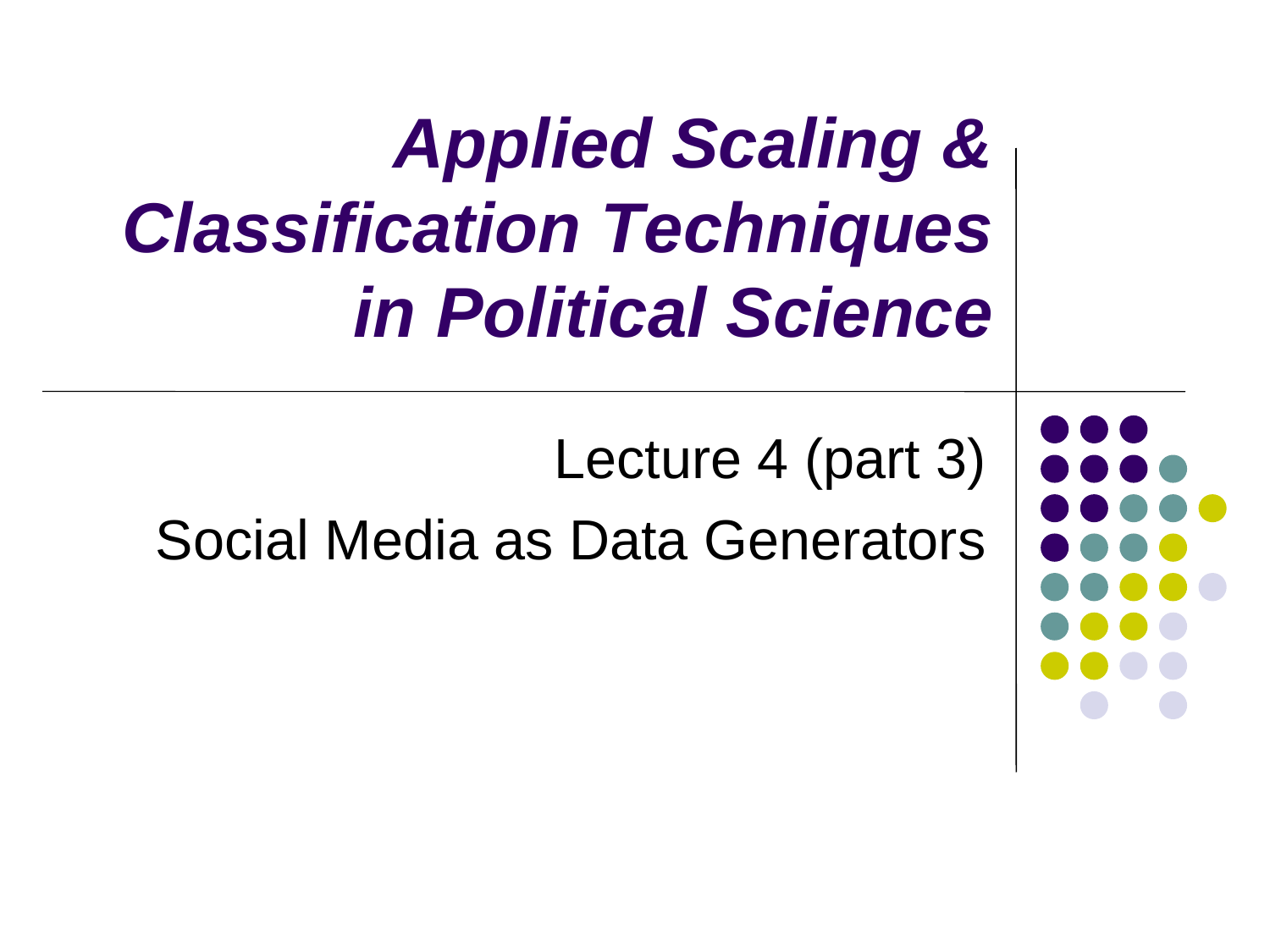*Applied Scaling & Classification Techniques in Political Science*

Lecture 4 (part 3)

Social Media as Data Generators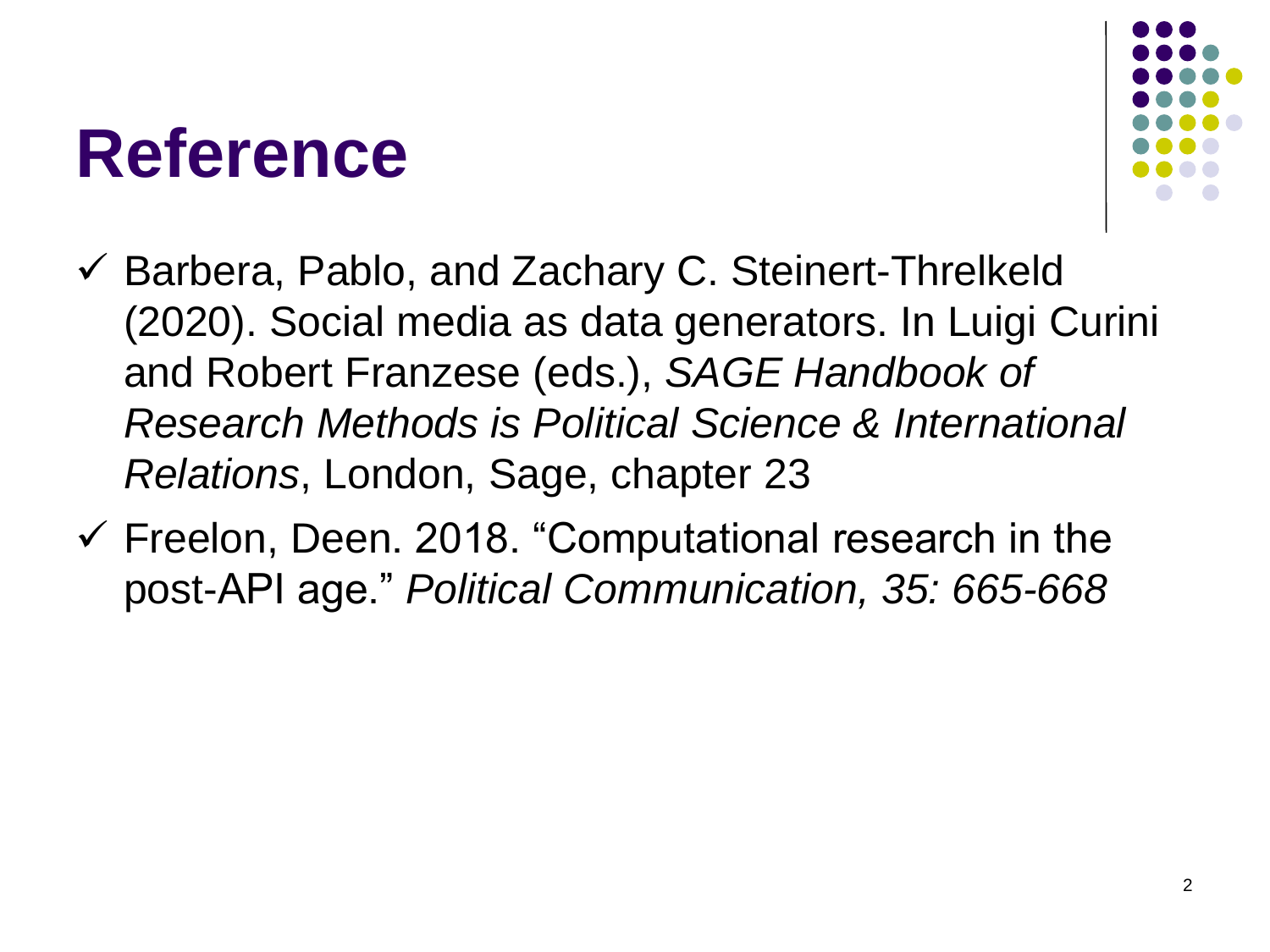#### **Reference**



- $\checkmark$  Barbera, Pablo, and Zachary C. Steinert-Threlkeld (2020). Social media as data generators. In Luigi Curini and Robert Franzese (eds.), *SAGE Handbook of Research Methods is Political Science & International Relations*, London, Sage, chapter 23
- $\checkmark$  Freelon, Deen. 2018. "Computational research in the post-API age." *Political Communication, 35: 665-668*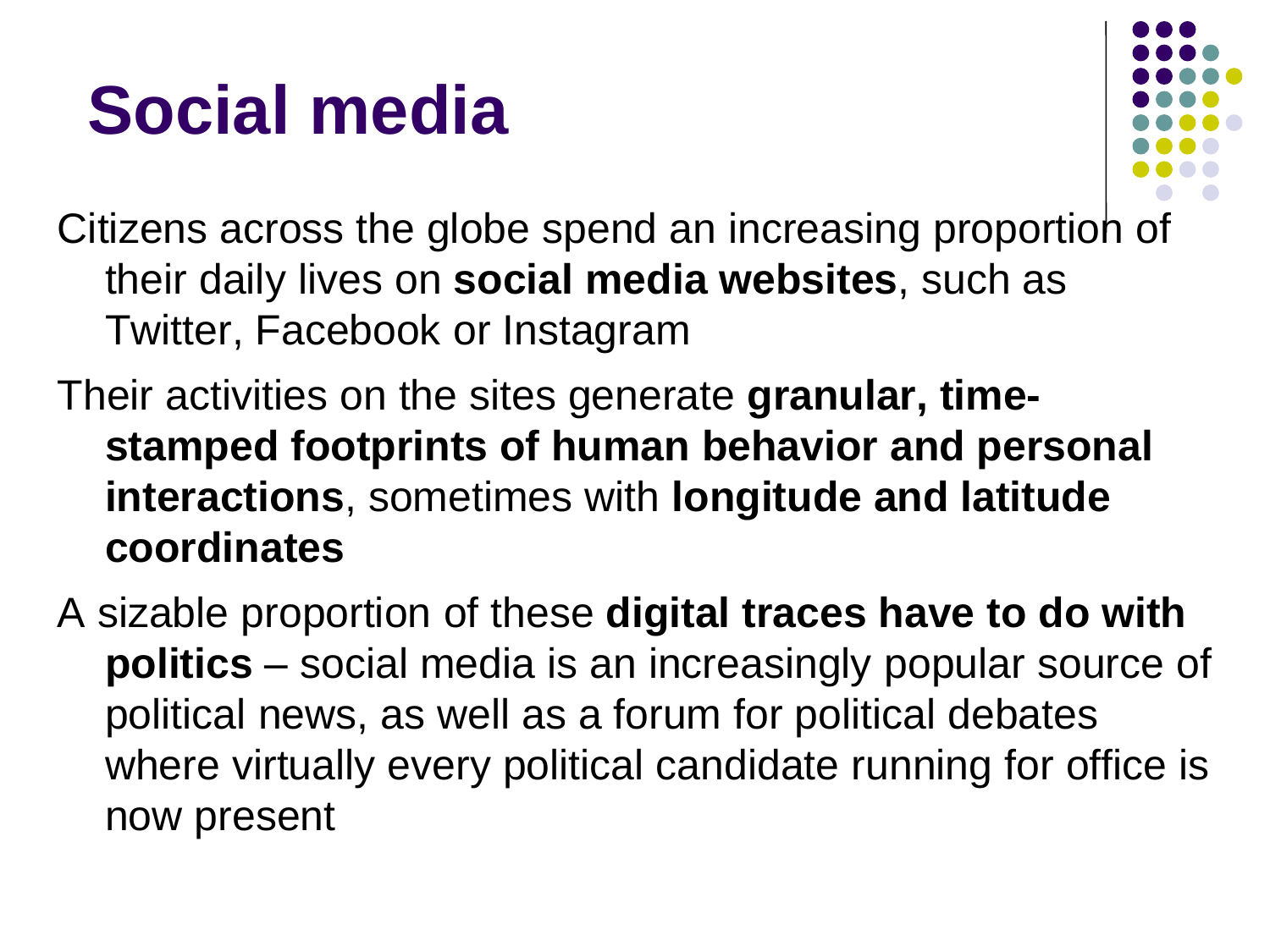

Citizens across the globe spend an increasing proportion of their daily lives on **social media websites**, such as Twitter, Facebook or Instagram

Their activities on the sites generate **granular, timestamped footprints of human behavior and personal interactions**, sometimes with **longitude and latitude coordinates**

A sizable proportion of these **digital traces have to do with politics** – social media is an increasingly popular source of political news, as well as a forum for political debates where virtually every political candidate running for office is now present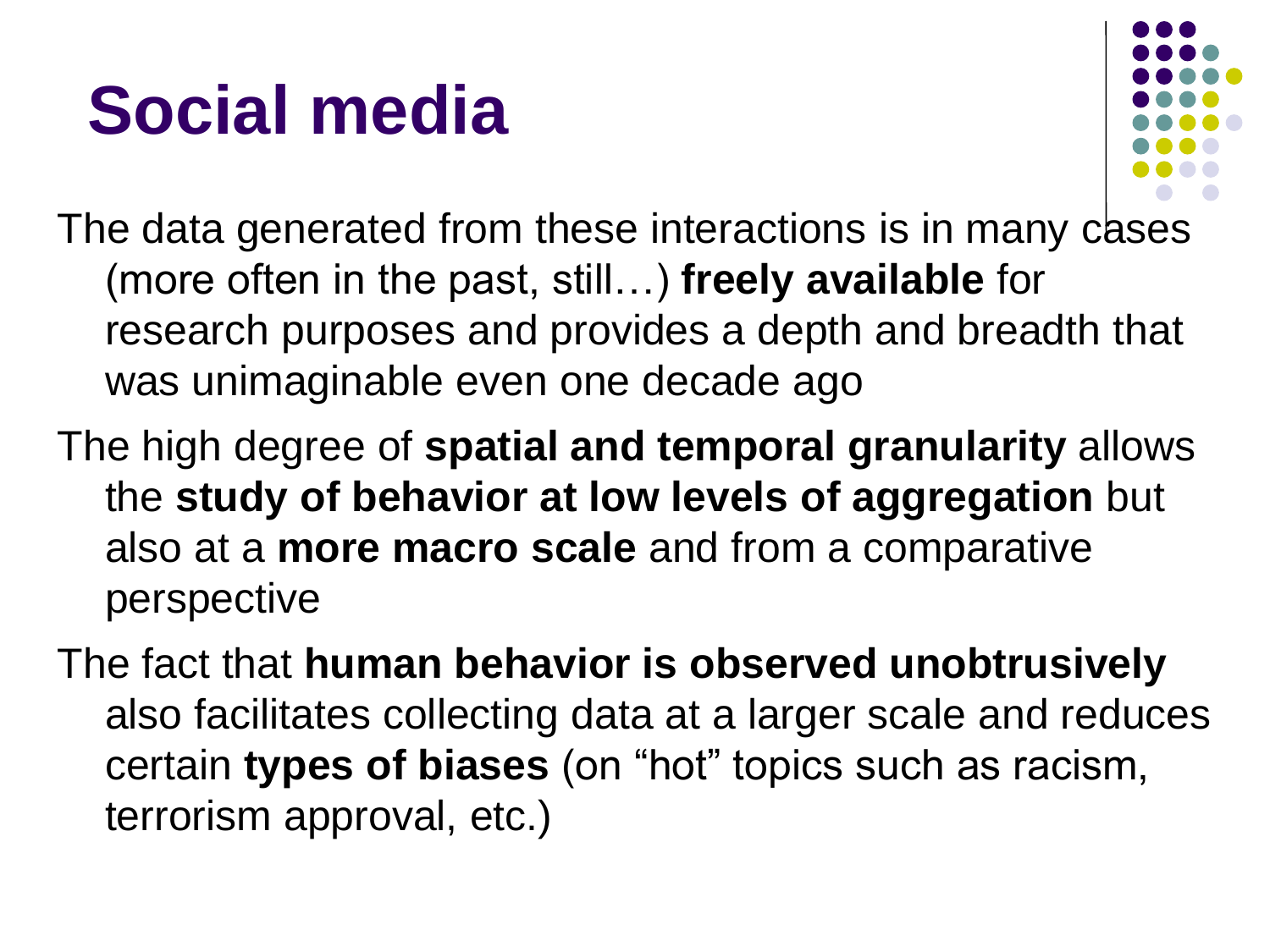

The data generated from these interactions is in many cases (more often in the past, still…) **freely available** for research purposes and provides a depth and breadth that was unimaginable even one decade ago

- The high degree of **spatial and temporal granularity** allows the **study of behavior at low levels of aggregation** but also at a **more macro scale** and from a comparative perspective
- The fact that **human behavior is observed unobtrusively**  also facilitates collecting data at a larger scale and reduces certain **types of biases** (on "hot" topics such as racism, terrorism approval, etc.)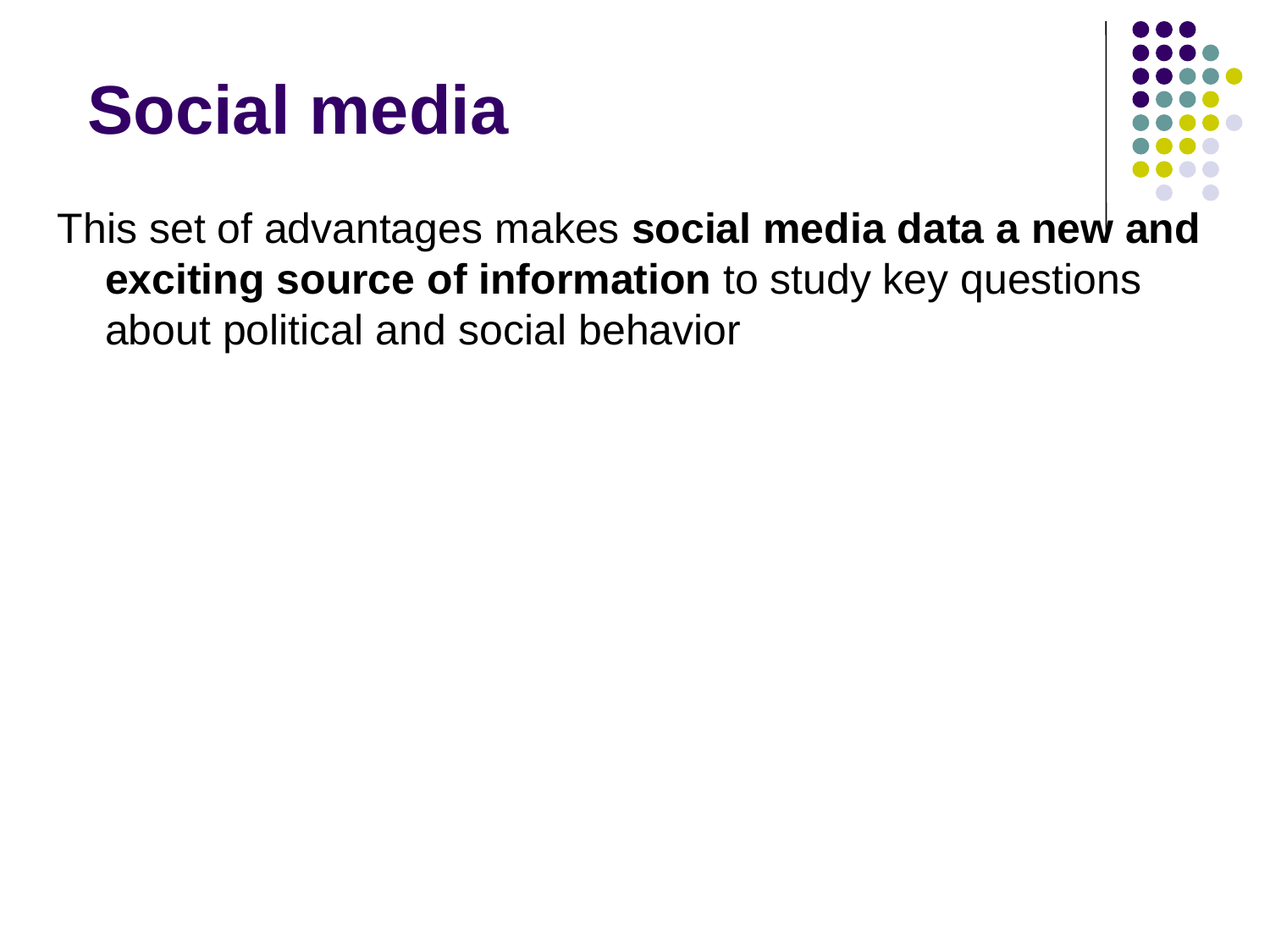



This set of advantages makes **social media data a new and exciting source of information** to study key questions about political and social behavior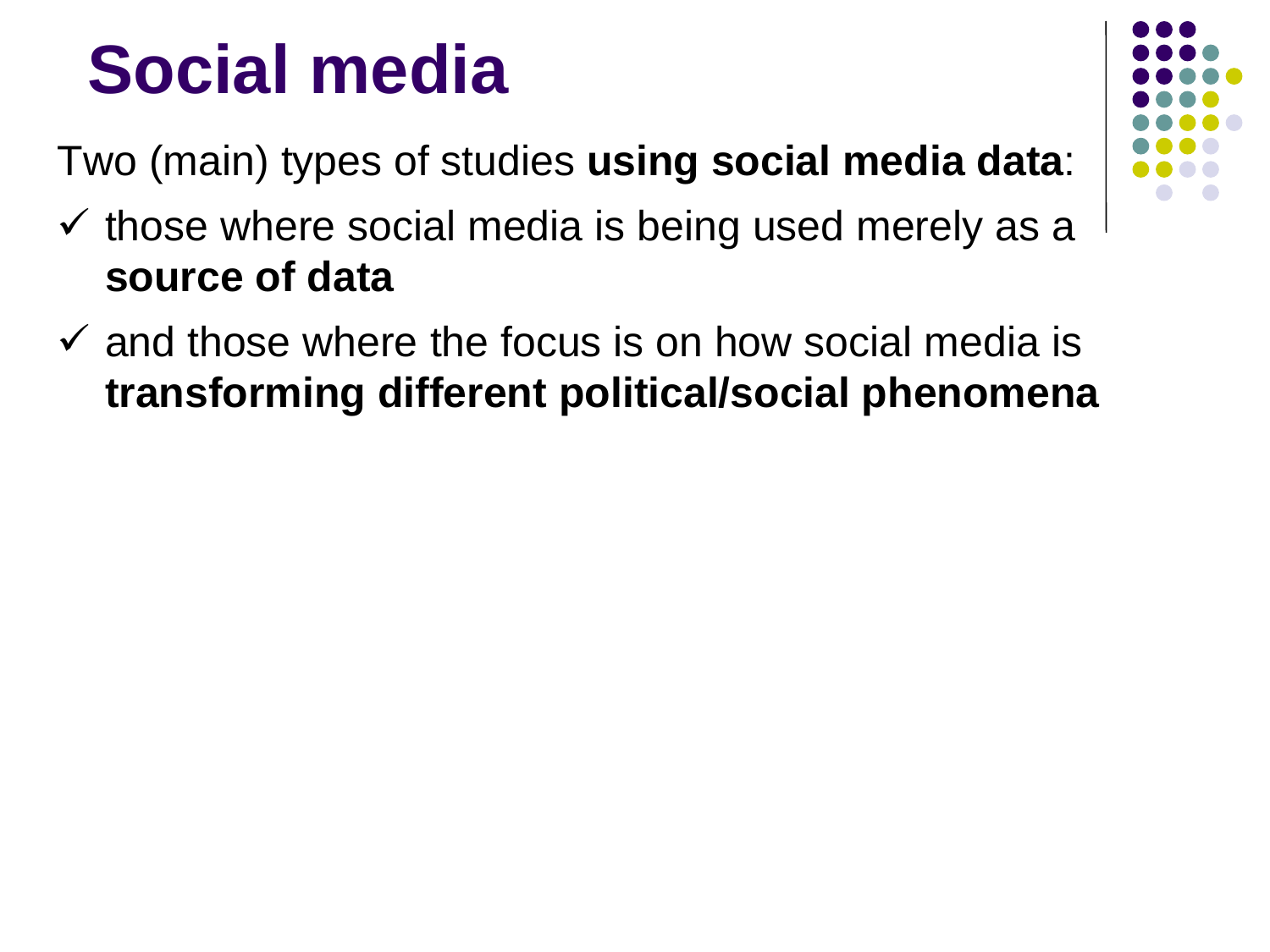Two (main) types of studies **using social media data**:

- $\checkmark$  those where social media is being used merely as a **source of data**
- $\checkmark$  and those where the focus is on how social media is **transforming different political/social phenomena**

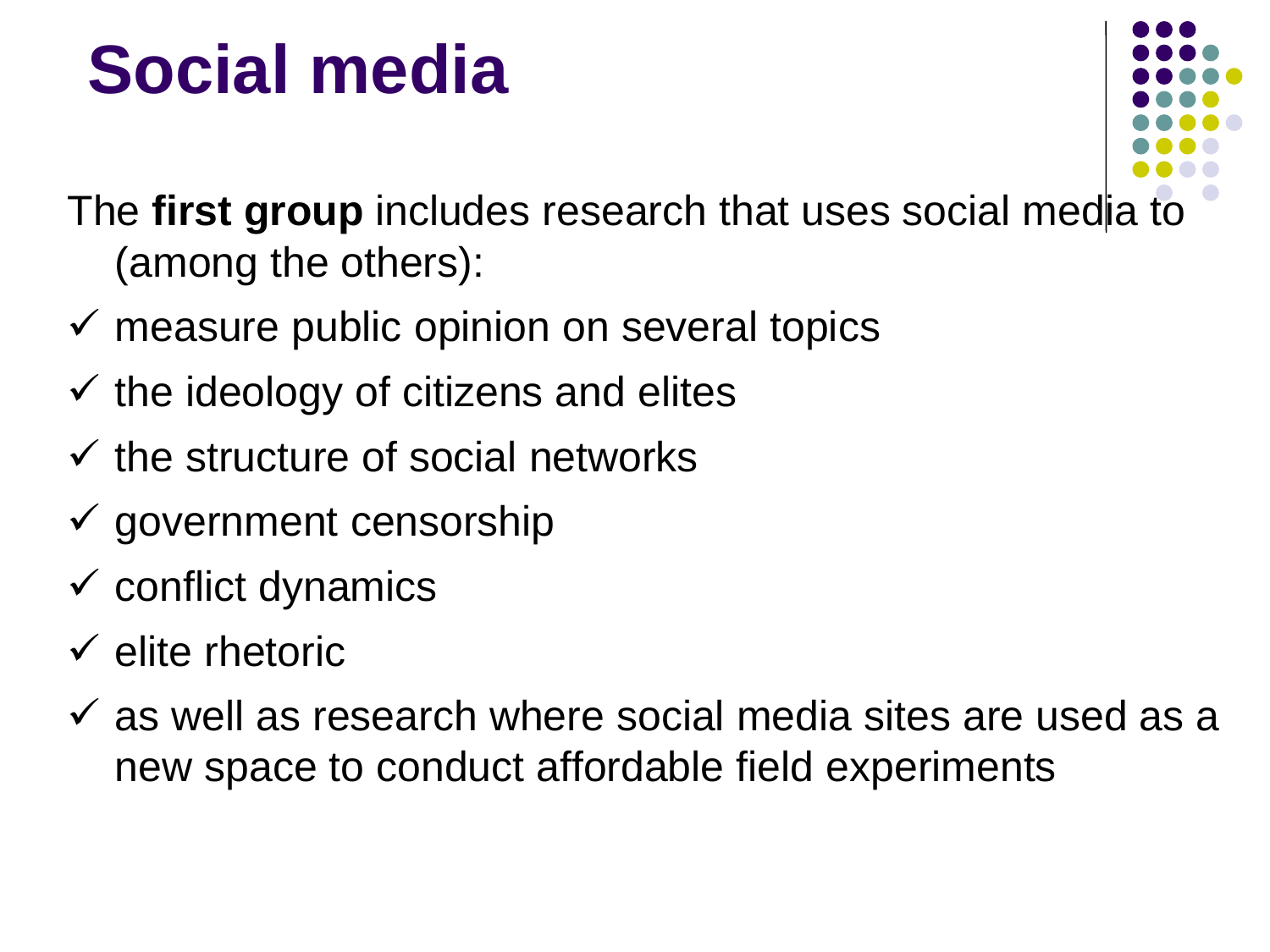

The **first group** includes research that uses social media to (among the others):

- $\checkmark$  measure public opinion on several topics
- $\checkmark$  the ideology of citizens and elites
- $\checkmark$  the structure of social networks
- $\checkmark$  government censorship
- $\checkmark$  conflict dynamics
- $\checkmark$  elite rhetoric
- $\checkmark$  as well as research where social media sites are used as a new space to conduct affordable field experiments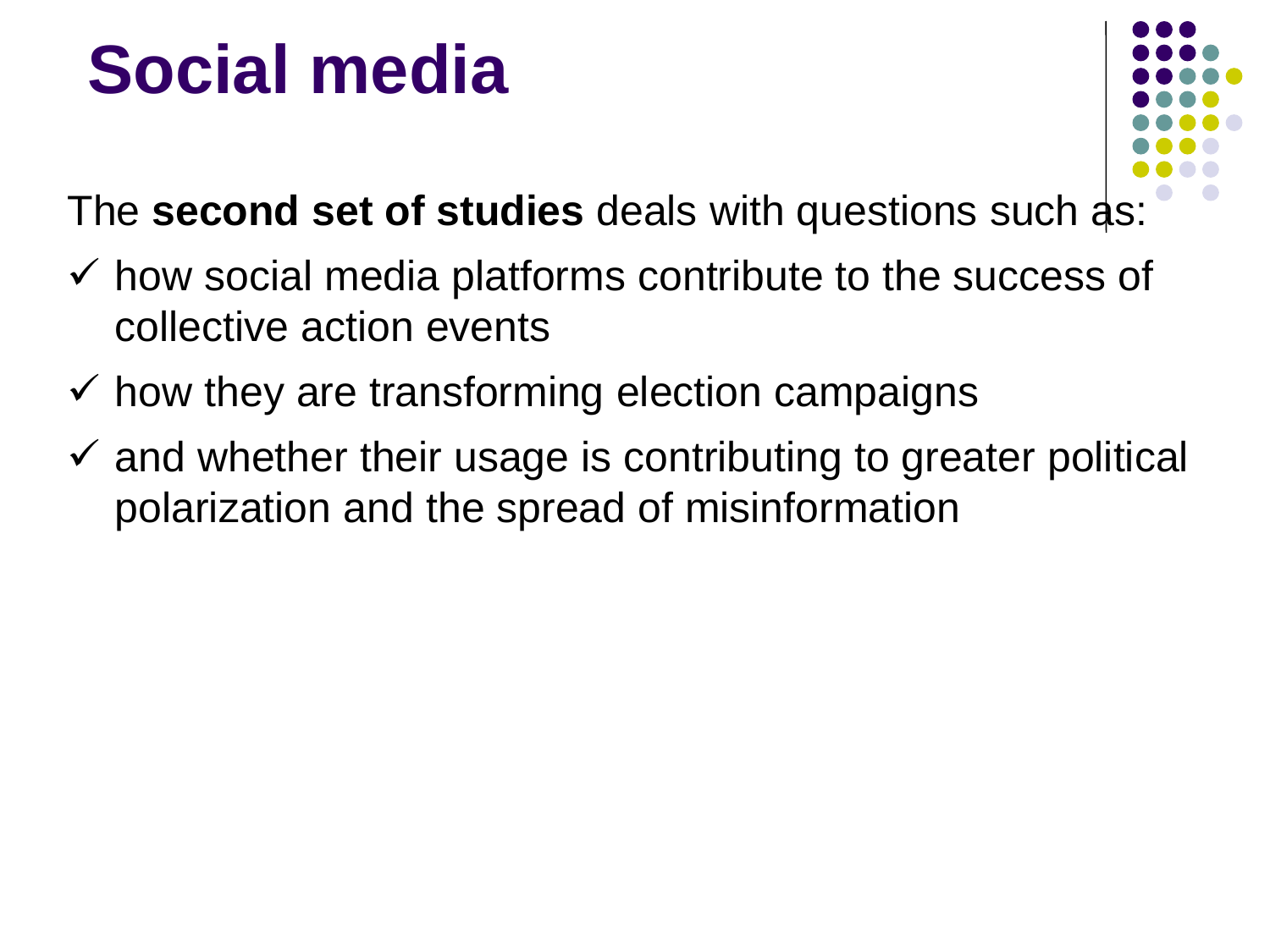

The **second set of studies** deals with questions such as:

- $\checkmark$  how social media platforms contribute to the success of collective action events
- $\checkmark$  how they are transforming election campaigns
- $\checkmark$  and whether their usage is contributing to greater political polarization and the spread of misinformation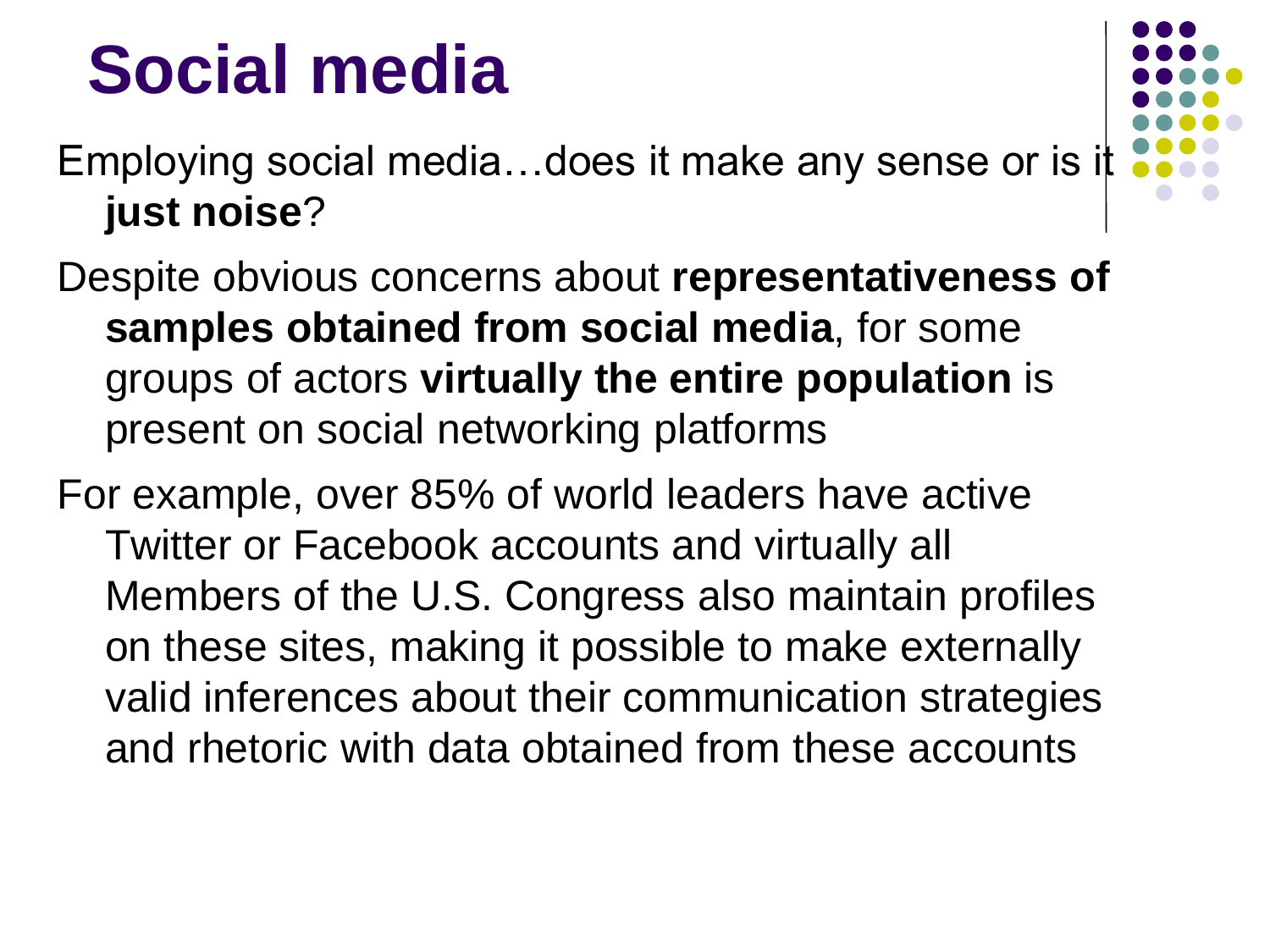Employing social media…does it make any sense or is it **just noise**?

Despite obvious concerns about **representativeness of samples obtained from social media**, for some groups of actors **virtually the entire population** is present on social networking platforms

For example, over 85% of world leaders have active Twitter or Facebook accounts and virtually all Members of the U.S. Congress also maintain profiles on these sites, making it possible to make externally valid inferences about their communication strategies and rhetoric with data obtained from these accounts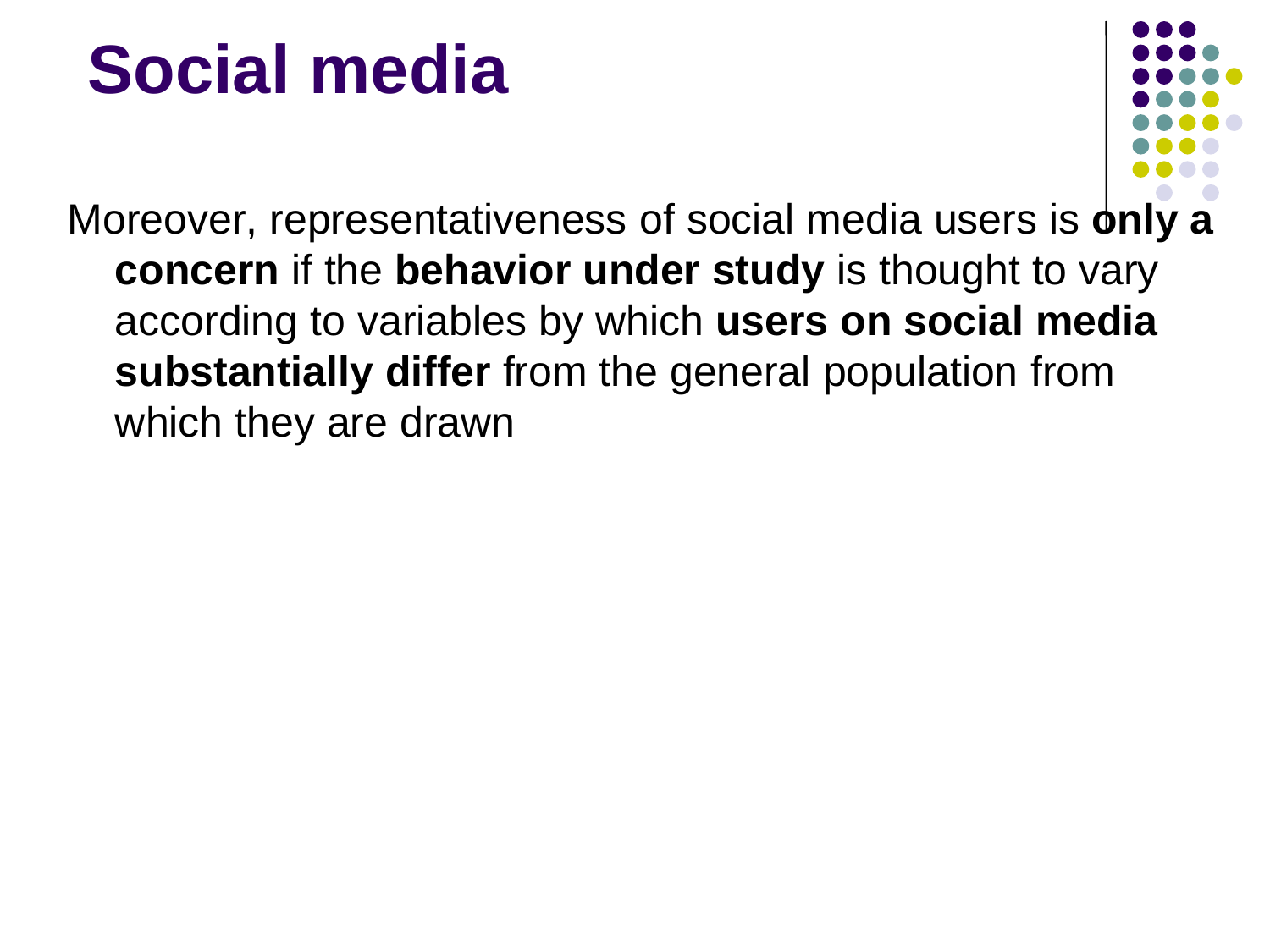

Moreover, representativeness of social media users is **only a concern** if the **behavior under study** is thought to vary according to variables by which **users on social media substantially differ** from the general population from which they are drawn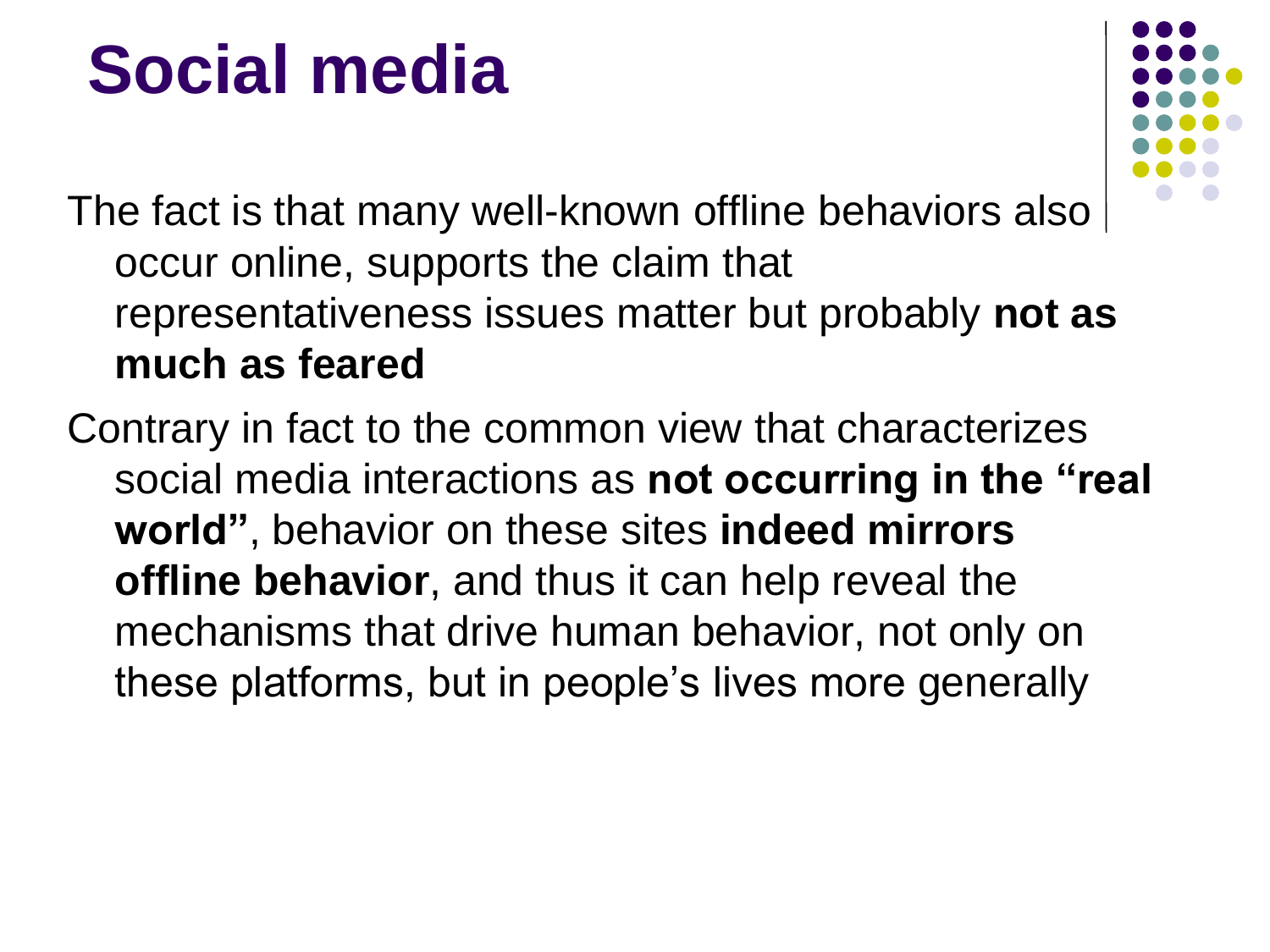

The fact is that many well-known offline behaviors also occur online, supports the claim that representativeness issues matter but probably **not as much as feared**

Contrary in fact to the common view that characterizes social media interactions as **not occurring in the "real world"**, behavior on these sites **indeed mirrors offline behavior**, and thus it can help reveal the mechanisms that drive human behavior, not only on these platforms, but in people's lives more generally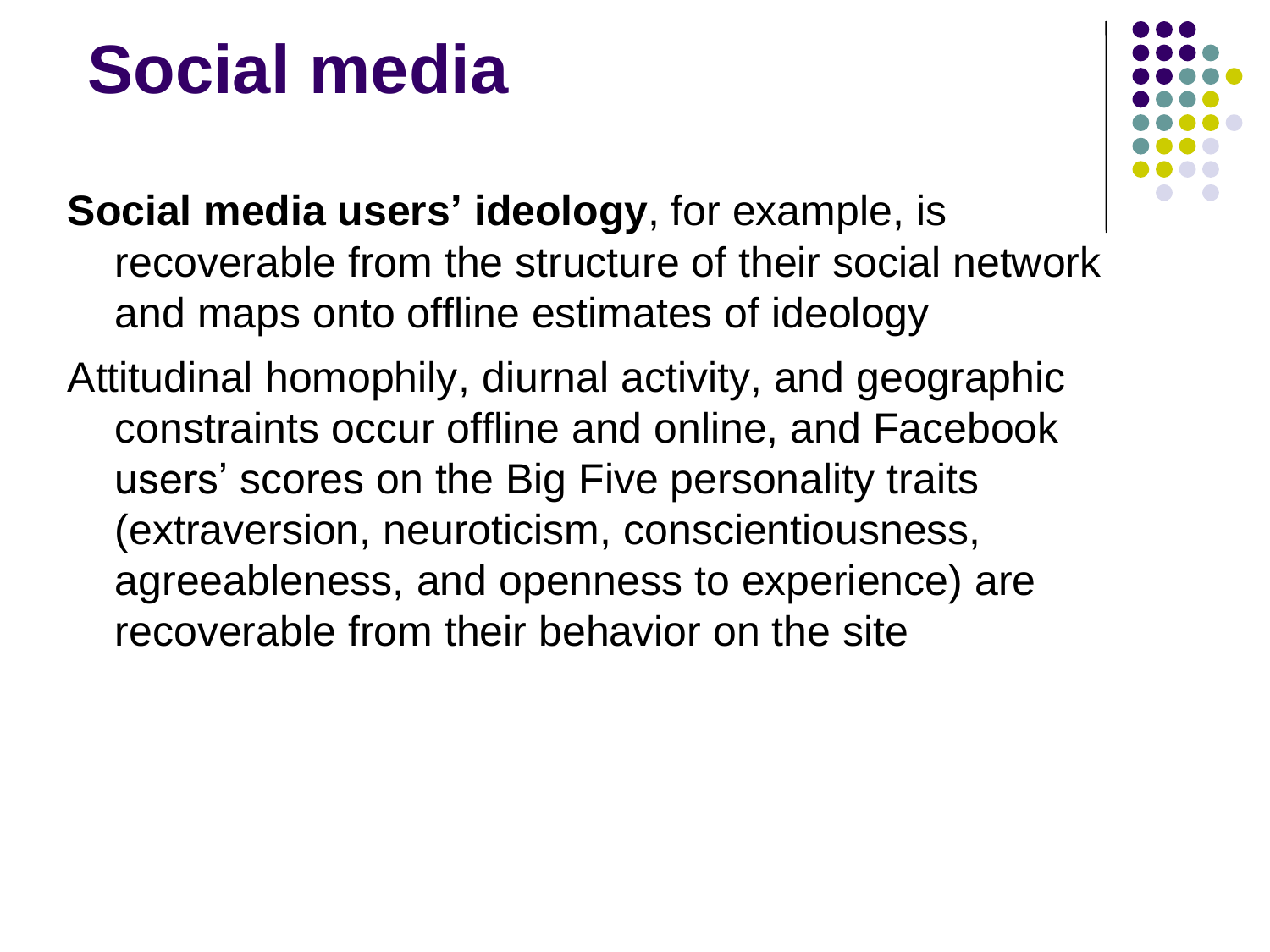

- **Social media users' ideology**, for example, is recoverable from the structure of their social network and maps onto offline estimates of ideology
- Attitudinal homophily, diurnal activity, and geographic constraints occur offline and online, and Facebook users' scores on the Big Five personality traits (extraversion, neuroticism, conscientiousness, agreeableness, and openness to experience) are recoverable from their behavior on the site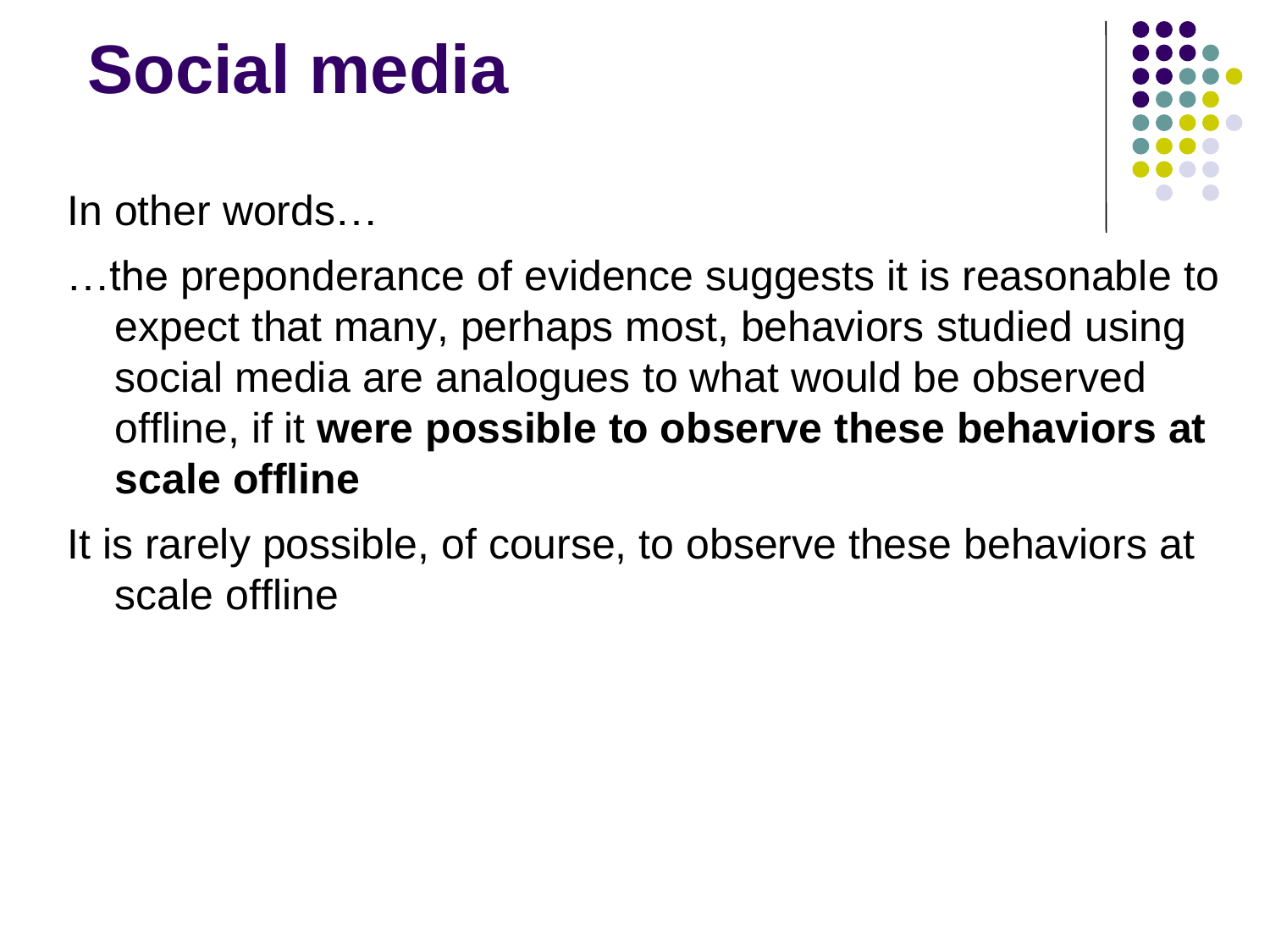In other words…

…the preponderance of evidence suggests it is reasonable to expect that many, perhaps most, behaviors studied using social media are analogues to what would be observed offline, if it **were possible to observe these behaviors at scale offline**

It is rarely possible, of course, to observe these behaviors at scale offline